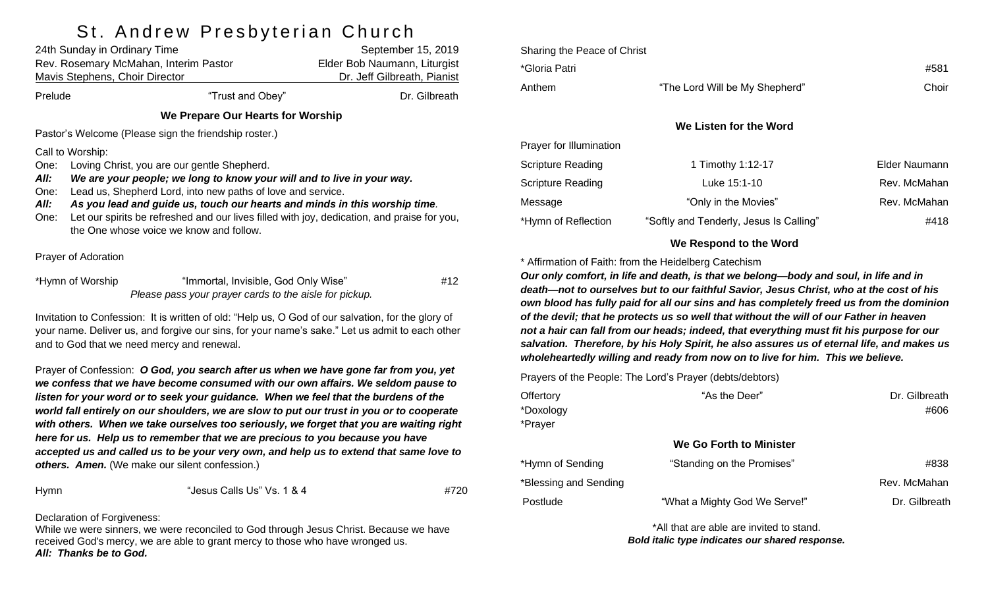# St Andrew Preshyterian Church

| 24th Sunday in Ordinary Time<br>Rev. Rosemary McMahan, Interim Pastor<br>Mavis Stephens, Choir Director                                                                                                                                                                                                                                                                                                                                                                  |                                                                                                | September 15, 2019<br>Elder Bob Naumann, Liturgist<br>Dr. Jeff Gilbreath, Pianist |  |  |  |
|--------------------------------------------------------------------------------------------------------------------------------------------------------------------------------------------------------------------------------------------------------------------------------------------------------------------------------------------------------------------------------------------------------------------------------------------------------------------------|------------------------------------------------------------------------------------------------|-----------------------------------------------------------------------------------|--|--|--|
| Prelude                                                                                                                                                                                                                                                                                                                                                                                                                                                                  | "Trust and Obey"                                                                               | Dr. Gilbreath                                                                     |  |  |  |
| We Prepare Our Hearts for Worship                                                                                                                                                                                                                                                                                                                                                                                                                                        |                                                                                                |                                                                                   |  |  |  |
| Pastor's Welcome (Please sign the friendship roster.)                                                                                                                                                                                                                                                                                                                                                                                                                    |                                                                                                |                                                                                   |  |  |  |
| Call to Worship:<br>Loving Christ, you are our gentle Shepherd.<br>One:<br>All:<br>We are your people; we long to know your will and to live in your way.<br>Lead us, Shepherd Lord, into new paths of love and service.<br>One:<br>As you lead and guide us, touch our hearts and minds in this worship time.<br>All:<br>Let our spirits be refreshed and our lives filled with joy, dedication, and praise for you,<br>One:<br>the One whose voice we know and follow. |                                                                                                |                                                                                   |  |  |  |
| Prayer of Adoration                                                                                                                                                                                                                                                                                                                                                                                                                                                      |                                                                                                |                                                                                   |  |  |  |
| *Hymn of Worship                                                                                                                                                                                                                                                                                                                                                                                                                                                         | "Immortal, Invisible, God Only Wise"<br>Please pass your prayer cards to the aisle for pickup. | #12                                                                               |  |  |  |
| Invitation to Confession: It is written of old: "Help us, O God of our salvation, for the glory of<br>your name. Deliver us, and forgive our sins, for your name's sake." Let us admit to each other<br>and to God that we need mercy and renewal.                                                                                                                                                                                                                       |                                                                                                |                                                                                   |  |  |  |
| Prayer of Confession: O God, you search after us when we have gone far from you, yet<br>we confess that we have become consumed with our own affairs. We seldom pause to                                                                                                                                                                                                                                                                                                 |                                                                                                |                                                                                   |  |  |  |

*we confess that we have become consumed with our own affairs. We seldom pause to listen for your word or to seek your guidance. When we feel that the burdens of the world fall entirely on our shoulders, we are slow to put our trust in you or to cooperate with others. When we take ourselves too seriously, we forget that you are waiting right here for us. Help us to remember that we are precious to you because you have accepted us and called us to be your very own, and help us to extend that same love to others. Amen.* (We make our silent confession.)

Hymn "Jesus Calls Us" Vs. 1 & 4 #720

Declaration of Forgiveness:

While we were sinners, we were reconciled to God through Jesus Christ. Because we have received God's mercy, we are able to grant mercy to those who have wronged us. *All: Thanks be to God.*

| Sharing the Peace of Christ |                                |               |
|-----------------------------|--------------------------------|---------------|
| *Gloria Patri               |                                | #581          |
| Anthem                      | "The Lord Will be My Shepherd" | Choir         |
|                             |                                |               |
|                             | We Listen for the Word         |               |
| Prayer for Illumination     |                                |               |
| <b>Scripture Reading</b>    | 1 Timothy 1:12-17              | Elder Naumann |
| <b>Scripture Reading</b>    | Luke 15:1-10                   | Rev. McMahan  |
| Message                     | "Only in the Movies"           | Rev. McMahan  |

#### **We Respond to the Word**

\*Hymn of Reflection "Softly and Tenderly, Jesus Is Calling"  $\#418$ 

\* Affirmation of Faith: from the Heidelberg Catechism

*Our only comfort, in life and death, is that we belong—body and soul, in life and in death—not to ourselves but to our faithful Savior, Jesus Christ, who at the cost of his own blood has fully paid for all our sins and has completely freed us from the dominion of the devil; that he protects us so well that without the will of our Father in heaven not a hair can fall from our heads; indeed, that everything must fit his purpose for our salvation. Therefore, by his Holy Spirit, he also assures us of eternal life, and makes us wholeheartedly willing and ready from now on to live for him. This we believe.*

Prayers of the People: The Lord's Prayer (debts/debtors)

| Offertory<br>*Doxology<br>*Prayer | "As the Deer"                 | Dr. Gilbreath<br>#606 |
|-----------------------------------|-------------------------------|-----------------------|
|                                   | We Go Forth to Minister       |                       |
| *Hymn of Sending                  | "Standing on the Promises"    | #838                  |
| *Blessing and Sending             |                               | Rev. McMahan          |
| Postlude                          | "What a Mighty God We Serve!" | Dr. Gilbreath         |

\*All that are able are invited to stand. *Bold italic type indicates our shared response.*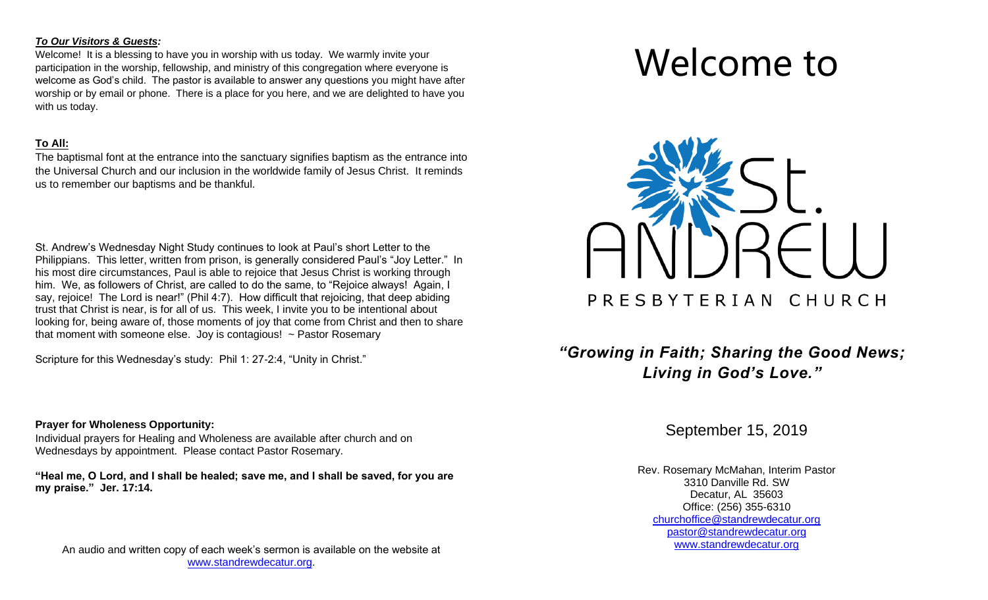#### *To Our Visitors & Guests:*

Welcome! It is a blessing to have you in worship with us today. We warmly invite your participation in the worship, fellowship, and ministry of this congregation where everyone is welcome as God's child. The pastor is available to answer any questions you might have after worship or by email or phone. There is a place for you here, and we are delighted to have you with us today.

#### **To All:**

The baptismal font at the entrance into the sanctuary signifies baptism as the entrance into the Universal Church and our inclusion in the worldwide family of Jesus Christ. It reminds us to remember our baptisms and be thankful.

St. Andrew's Wednesday Night Study continues to look at Paul's short Letter to the Philippians. This letter, written from prison, is generally considered Paul's "Joy Letter." In his most dire circumstances, Paul is able to rejoice that Jesus Christ is working through him. We, as followers of Christ, are called to do the same, to "Rejoice always! Again, I say, rejoice! The Lord is near!" (Phil 4:7). How difficult that rejoicing, that deep abiding trust that Christ is near, is for all of us. This week, I invite you to be intentional about looking for, being aware of, those moments of joy that come from Christ and then to share that moment with someone else. Joy is contagious!  $\sim$  Pastor Rosemary

Scripture for this Wednesday's study: Phil 1: 27-2:4, "Unity in Christ."

#### **Prayer for Wholeness Opportunity:**

Individual prayers for Healing and Wholeness are available after church and on Wednesdays by appointment. Please contact Pastor Rosemary.

**"Heal me, O Lord, and I shall be healed; save me, and I shall be saved, for you are my praise." Jer. 17:14.**

An audio and written copy of each week's sermon is available on the website at [www.standrewdecatur.org.](http://www.standrewdecatur.org/)

# Welcome to



## *"Growing in Faith; Sharing the Good News; Living in God's Love."*

September 15, 2019

Rev. Rosemary McMahan, Interim Pastor 3310 Danville Rd. SW Decatur, AL 35603 Office: (256) 355-6310 [churchoffice@standrewdecatur.org](mailto:churchoffice@standrewdecatur.org) pastor@standrewdecatur.org [www.standrewdecatur.org](http://www.standrewdecatur.org/)